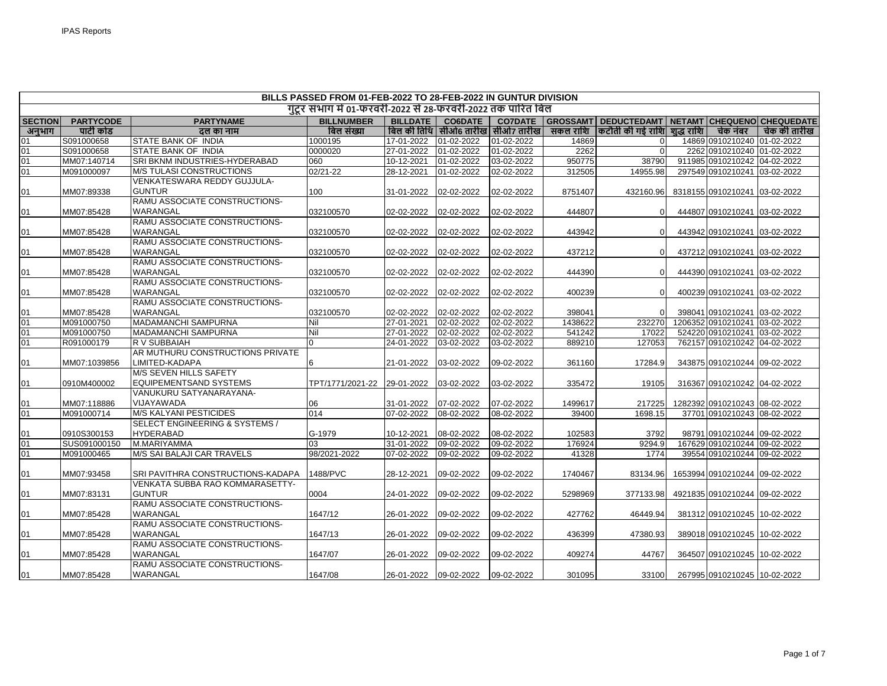| BILLS PASSED FROM 01-FEB-2022 TO 28-FEB-2022 IN GUNTUR DIVISION |                  |                                           |                                                             |                       |                |                                       |          |                                                                   |  |                               |              |
|-----------------------------------------------------------------|------------------|-------------------------------------------|-------------------------------------------------------------|-----------------------|----------------|---------------------------------------|----------|-------------------------------------------------------------------|--|-------------------------------|--------------|
|                                                                 |                  |                                           | गुंटर संभाग में 01-फरवरी-2022 से 28-फरवरी-2022 तक पारित बिल |                       |                |                                       |          |                                                                   |  |                               |              |
| <b>SECTION</b>                                                  | <b>PARTYCODE</b> | <b>PARTYNAME</b>                          | <b>BILLNUMBER</b>                                           | <b>BILLDATE</b>       | <b>CO6DATE</b> |                                       |          | CO7DATE   GROSSAMT   DEDUCTEDAMT   NETAMT   CHEQUENO   CHEQUEDATE |  |                               |              |
| अनुभाग                                                          | पार्टी कोड       | ढल का नाम                                 | बिल संख्या                                                  |                       |                | बिल की तिथि   सीओ6 तारीख   सीओ7 तारीख | सकल राशि | कटौती की गई राशि  शुद्ध राशि                                      |  | चेक नंबर                      | चेक की तारीख |
| 01                                                              | S091000658       | <b>STATE BANK OF INDIA</b>                | 1000195                                                     | 17-01-2022            | 01-02-2022     | 01-02-2022                            | 14869    | $\Omega$                                                          |  | 14869 0910210240 01-02-2022   |              |
| 01                                                              | S091000658       | STATE BANK OF INDIA                       | 0000020                                                     | 27-01-2022            | 01-02-2022     | 01-02-2022                            | 2262     | $\Omega$                                                          |  | 2262 0910210240 01-02-2022    |              |
| 01                                                              | MM07:140714      | SRI BKNM INDUSTRIES-HYDERABAD             | 060                                                         | 10-12-2021            | 01-02-2022     | 03-02-2022                            | 950775   | 38790                                                             |  | 911985 0910210242 04-02-2022  |              |
| 01                                                              | M091000097       | <b>M/S TULASI CONSTRUCTIONS</b>           | 02/21-22                                                    | 28-12-2021            | 01-02-2022     | 02-02-2022                            | 312505   | 14955.98                                                          |  | 297549 0910210241 03-02-2022  |              |
|                                                                 |                  | VENKATESWARA REDDY GUJJULA-               |                                                             |                       |                |                                       |          |                                                                   |  |                               |              |
| 01                                                              | MM07:89338       | <b>GUNTUR</b>                             | 100                                                         | 31-01-2022            | 02-02-2022     | 02-02-2022                            | 8751407  | 432160.96                                                         |  | 8318155 0910210241 03-02-2022 |              |
|                                                                 |                  | RAMU ASSOCIATE CONSTRUCTIONS-             |                                                             |                       |                |                                       |          |                                                                   |  |                               |              |
| 01                                                              | MM07:85428       | WARANGAL                                  | 032100570                                                   | 02-02-2022            | 02-02-2022     | 02-02-2022                            | 444807   | $\Omega$                                                          |  | 444807 0910210241 03-02-2022  |              |
|                                                                 |                  | RAMU ASSOCIATE CONSTRUCTIONS-             |                                                             |                       |                |                                       |          |                                                                   |  |                               |              |
| 01                                                              | MM07:85428       | WARANGAL                                  | 032100570                                                   | 02-02-2022            | 02-02-2022     | 02-02-2022                            | 443942   | $\Omega$                                                          |  | 443942 0910210241 03-02-2022  |              |
|                                                                 |                  | RAMU ASSOCIATE CONSTRUCTIONS-             |                                                             |                       |                |                                       |          |                                                                   |  |                               |              |
| 01                                                              | MM07:85428       | WARANGAL                                  | 032100570                                                   | 02-02-2022            | 02-02-2022     | 02-02-2022                            | 437212   | $\Omega$                                                          |  | 437212 0910210241 03-02-2022  |              |
|                                                                 |                  | RAMU ASSOCIATE CONSTRUCTIONS-             |                                                             |                       |                |                                       |          |                                                                   |  |                               |              |
| 01                                                              | MM07:85428       | WARANGAL                                  | 032100570                                                   | 02-02-2022            | 02-02-2022     | 02-02-2022                            | 444390   | $\Omega$                                                          |  | 444390 0910210241 03-02-2022  |              |
|                                                                 |                  | RAMU ASSOCIATE CONSTRUCTIONS-             |                                                             |                       |                |                                       |          |                                                                   |  |                               |              |
| 01                                                              | MM07:85428       | WARANGAL                                  | 032100570                                                   | 02-02-2022            | 02-02-2022     | 02-02-2022                            | 400239   | $\Omega$                                                          |  | 400239 0910210241 03-02-2022  |              |
|                                                                 |                  | RAMU ASSOCIATE CONSTRUCTIONS-             |                                                             |                       |                |                                       |          |                                                                   |  |                               |              |
| 01                                                              | MM07:85428       | WARANGAL                                  | 032100570                                                   | 02-02-2022            | 02-02-2022     | 02-02-2022                            | 398041   |                                                                   |  | 398041 0910210241 03-02-2022  |              |
| 01                                                              | M091000750       | <b>MADAMANCHI SAMPURNA</b>                | Nil                                                         | 27-01-2021            | 02-02-2022     | 02-02-2022                            | 1438622  | 232270                                                            |  | 120635210910210241103-02-2022 |              |
| 01                                                              | M091000750       | <b>MADAMANCHI SAMPURNA</b>                | Nil                                                         | 27-01-2022            | 02-02-2022     | 02-02-2022                            | 541242   | 17022                                                             |  | 524220 0910210241 03-02-2022  |              |
| 01                                                              | R091000179       | R V SUBBAIAH                              | $\overline{0}$                                              | 24-01-2022            | 03-02-2022     | 03-02-2022                            | 889210   | 127053                                                            |  | 762157 0910210242 04-02-2022  |              |
|                                                                 |                  | AR MUTHURU CONSTRUCTIONS PRIVATE          |                                                             |                       |                |                                       |          |                                                                   |  |                               |              |
| 01                                                              | MM07:1039856     | LIMITED-KADAPA                            |                                                             | 21-01-2022            | 03-02-2022     | 09-02-2022                            | 361160   | 17284.9                                                           |  | 343875 0910210244 09-02-2022  |              |
|                                                                 |                  | M/S SEVEN HILLS SAFETY                    |                                                             |                       |                |                                       |          |                                                                   |  |                               |              |
| 01                                                              | 0910M400002      | EQUIPEMENTSAND SYSTEMS                    | TPT/1771/2021-22                                            | 29-01-2022            | 03-02-2022     | 03-02-2022                            | 335472   | 19105                                                             |  | 316367 0910210242 04-02-2022  |              |
|                                                                 |                  | VANUKURU SATYANARAYANA-                   |                                                             |                       |                |                                       |          |                                                                   |  |                               |              |
| 01                                                              | MM07:118886      | VIJAYAWADA                                | 06                                                          | 31-01-2022            | 07-02-2022     | 07-02-2022                            | 1499617  | 217225                                                            |  | 1282392 0910210243 08-02-2022 |              |
| 01                                                              | M091000714       | <b>M/S KALYANI PESTICIDES</b>             | 014                                                         | 07-02-2022            | 08-02-2022     | 08-02-2022                            | 39400    | 1698.15                                                           |  | 37701 0910210243 08-02-2022   |              |
|                                                                 |                  | <b>SELECT ENGINEERING &amp; SYSTEMS /</b> |                                                             |                       |                |                                       |          |                                                                   |  |                               |              |
| 01                                                              | 0910S300153      | <b>HYDERABAD</b>                          | G-1979                                                      | 10-12-2021            | 08-02-2022     | 08-02-2022                            | 102583   | 3792                                                              |  | 98791 0910210244 09-02-2022   |              |
| 01                                                              | SUS091000150     | M.MARIYAMMA                               | 03                                                          | 31-01-2022            | 09-02-2022     | 09-02-2022                            | 176924   | 9294.9                                                            |  | 167629 0910210244 09-02-2022  |              |
| 01                                                              | M091000465       | M/S SAI BALAJI CAR TRAVELS                | 98/2021-2022                                                | 07-02-2022            | 09-02-2022     | 09-02-2022                            | 41328    | 1774                                                              |  | 39554 0910210244 09-02-2022   |              |
|                                                                 |                  |                                           |                                                             |                       |                |                                       |          |                                                                   |  |                               |              |
| 01                                                              | MM07:93458       | SRI PAVITHRA CONSTRUCTIONS-KADAPA         | 1488/PVC                                                    | 28-12-2021            | 09-02-2022     | 09-02-2022                            | 1740467  | 83134.96                                                          |  | 1653994 0910210244 09-02-2022 |              |
|                                                                 |                  | VENKATA SUBBA RAO KOMMARASETTY-           |                                                             |                       |                |                                       |          |                                                                   |  |                               |              |
| 01                                                              | MM07:83131       | <b>GUNTUR</b>                             | 0004                                                        | 24-01-2022            | 09-02-2022     | 09-02-2022                            | 5298969  | 377133.98                                                         |  | 4921835 0910210244 09-02-2022 |              |
|                                                                 |                  | RAMU ASSOCIATE CONSTRUCTIONS-             |                                                             |                       |                |                                       |          |                                                                   |  |                               |              |
| 01                                                              | MM07:85428       | WARANGAL                                  | 1647/12                                                     | 26-01-2022            | 09-02-2022     | 09-02-2022                            | 427762   | 46449.94                                                          |  | 381312 0910210245 10-02-2022  |              |
|                                                                 |                  | RAMU ASSOCIATE CONSTRUCTIONS-             |                                                             |                       |                |                                       |          |                                                                   |  |                               |              |
| 01                                                              | MM07:85428       | WARANGAL                                  | 1647/13                                                     | 26-01-2022            | 09-02-2022     | 09-02-2022                            | 436399   | 47380.93                                                          |  | 389018 0910210245 10-02-2022  |              |
|                                                                 |                  | RAMU ASSOCIATE CONSTRUCTIONS-             |                                                             |                       |                |                                       |          |                                                                   |  |                               |              |
| 01                                                              | MM07:85428       | WARANGAL                                  | 1647/07                                                     | 26-01-2022            | 09-02-2022     | 09-02-2022                            | 409274   | 44767                                                             |  | 364507 0910210245 10-02-2022  |              |
|                                                                 |                  | RAMU ASSOCIATE CONSTRUCTIONS-             |                                                             |                       |                |                                       |          |                                                                   |  |                               |              |
| 01                                                              | MM07:85428       | WARANGAL                                  | 1647/08                                                     | 26-01-2022 09-02-2022 |                | 09-02-2022                            | 301095   | 33100                                                             |  | 267995 0910210245 10-02-2022  |              |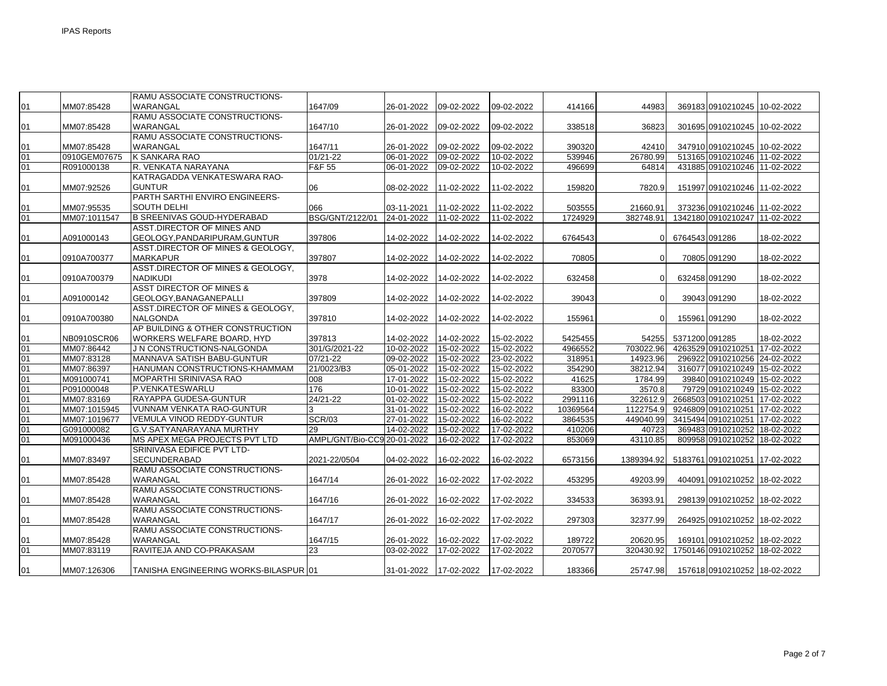|                 |              | RAMU ASSOCIATE CONSTRUCTIONS-         |                             |            |            |            |          |            |                |                               |            |
|-----------------|--------------|---------------------------------------|-----------------------------|------------|------------|------------|----------|------------|----------------|-------------------------------|------------|
| 01              | MM07:85428   | WARANGAL                              | 1647/09                     | 26-01-2022 | 09-02-2022 | 09-02-2022 | 414166   | 44983      |                | 369183 0910210245 10-02-2022  |            |
|                 |              | RAMU ASSOCIATE CONSTRUCTIONS-         |                             |            |            |            |          |            |                |                               |            |
| 01              | MM07:85428   | WARANGAL                              | 1647/10                     | 26-01-2022 | 09-02-2022 | 09-02-2022 | 338518   | 36823      |                | 301695 0910210245 10-02-2022  |            |
|                 |              | RAMU ASSOCIATE CONSTRUCTIONS-         |                             |            |            |            |          |            |                |                               |            |
| 01              | MM07:85428   | WARANGAL                              | 1647/11                     | 26-01-2022 | 09-02-2022 | 09-02-2022 | 390320   | 42410      |                | 347910 0910210245 10-02-2022  |            |
| 01              | 0910GEM07675 | K SANKARA RAO                         | $01/21 - 22$                | 06-01-2022 | 09-02-2022 | 10-02-2022 | 539946   | 26780.99   |                | 513165 0910210246 11-02-2022  |            |
| 01              | R091000138   | R. VENKATA NARAYANA                   | F&F 55                      | 06-01-2022 | 09-02-2022 | 10-02-2022 | 496699   | 64814      |                | 431885 0910210246 11-02-2022  |            |
|                 |              | KATRAGADDA VENKATESWARA RAO-          |                             |            |            |            |          |            |                |                               |            |
| 01              | MM07:92526   | <b>GUNTUR</b>                         | 06                          | 08-02-2022 | 11-02-2022 | 11-02-2022 | 159820   | 7820.9     |                | 151997 0910210246 11-02-2022  |            |
|                 |              | PARTH SARTHI ENVIRO ENGINEERS-        |                             |            |            |            |          |            |                |                               |            |
| 01              | MM07:95535   | <b>SOUTH DELHI</b>                    | 066                         | 03-11-2021 | 11-02-2022 | 11-02-2022 | 503555   | 21660.91   |                | 373236 0910210246 11-02-2022  |            |
| 01              | MM07:1011547 | <b>B SREENIVAS GOUD-HYDERABAD</b>     | BSG/GNT/2122/01             | 24-01-2022 | 11-02-2022 | 11-02-2022 | 1724929  | 382748.91  |                | 1342180 0910210247 11-02-2022 |            |
|                 |              | ASST.DIRECTOR OF MINES AND            |                             |            |            |            |          |            |                |                               |            |
| 01              | A091000143   | GEOLOGY, PANDARIPURAM, GUNTUR         | 397806                      | 14-02-2022 | 14-02-2022 | 14-02-2022 | 6764543  |            | 6764543 091286 |                               | 18-02-2022 |
|                 |              | ASST. DIRECTOR OF MINES & GEOLOGY,    |                             |            |            |            |          |            |                |                               |            |
| 01              | 0910A700377  | <b>MARKAPUR</b>                       | 397807                      | 14-02-2022 | 14-02-2022 | 14-02-2022 | 70805    | U          |                | 70805 091290                  | 18-02-2022 |
|                 |              | ASST.DIRECTOR OF MINES & GEOLOGY,     |                             |            |            |            |          |            |                |                               |            |
| 01              | 0910A700379  | <b>NADIKUDI</b>                       | 3978                        | 14-02-2022 | 14-02-2022 | 14-02-2022 | 632458   | U          |                | 632458 091290                 | 18-02-2022 |
|                 |              | <b>ASST DIRECTOR OF MINES &amp;</b>   |                             |            |            |            |          |            |                |                               |            |
| 01              | A091000142   | GEOLOGY, BANAGANE PALLI               | 397809                      | 14-02-2022 | 14-02-2022 | 14-02-2022 | 39043    | 0          |                | 39043 091290                  | 18-02-2022 |
|                 |              | ASST.DIRECTOR OF MINES & GEOLOGY,     |                             |            |            |            |          |            |                |                               |            |
| 01              | 0910A700380  | <b>NALGONDA</b>                       | 397810                      | 14-02-2022 | 14-02-2022 | 14-02-2022 | 155961   | U          |                | 155961 091290                 | 18-02-2022 |
|                 |              | AP BUILDING & OTHER CONSTRUCTION      |                             |            |            |            |          |            |                |                               |            |
| 01              | NB0910SCR06  | WORKERS WELFARE BOARD, HYD            | 397813                      | 14-02-2022 | 14-02-2022 | 15-02-2022 | 5425455  | 54255      | 5371200 091285 |                               | 18-02-2022 |
| 01              | MM07:86442   | J N CONSTRUCTIONS-NALGONDA            | 301/G/2021-22               | 10-02-2022 | 15-02-2022 | 15-02-2022 | 4966552  | 703022.96  |                | 4263529 0910210251 17-02-2022 |            |
| 01              | MM07:83128   | MANNAVA SATISH BABU-GUNTUR            | 07/21-22                    | 09-02-2022 | 15-02-2022 | 23-02-2022 | 318951   | 14923.96   |                | 296922 0910210256 24-02-2022  |            |
| 01              | MM07:86397   | HANUMAN CONSTRUCTIONS-KHAMMAM         | 21/0023/B3                  | 05-01-2022 | 15-02-2022 | 15-02-2022 | 354290   | 38212.94   |                | 316077 0910210249 15-02-2022  |            |
| 01              | M091000741   | MOPARTHI SRINIVASA RAO                | 008                         | 17-01-2022 | 15-02-2022 | 15-02-2022 | 41625    | 1784.99    |                | 39840 0910210249 15-02-2022   |            |
| 01              | P091000048   | P.VENKATESWARLU                       | 176                         | 10-01-2022 | 15-02-2022 | 15-02-2022 | 83300    | 3570.8     |                | 79729 0910210249 15-02-2022   |            |
| 01              | MM07:83169   | <b>RAYAPPA GUDESA-GUNTUR</b>          | 24/21-22                    | 01-02-2022 | 15-02-2022 | 15-02-2022 | 2991116  | 322612.9   |                | 2668503 0910210251 17-02-2022 |            |
| 01              | MM07:1015945 | VUNNAM VENKATA RAO-GUNTUR             |                             | 31-01-2022 | 15-02-2022 | 16-02-2022 | 10369564 | 1122754.9  |                | 9246809 0910210251 17-02-2022 |            |
| 01              | MM07:1019677 | VEMULA VINOD REDDY-GUNTUR             | <b>SCR/03</b>               | 27-01-2022 | 15-02-2022 | 16-02-2022 | 3864535  | 449040.99  |                | 3415494 0910210251 17-02-2022 |            |
| 01              | G091000082   | G.V.SATYANARAYANA MURTHY              | 29                          | 14-02-2022 | 15-02-2022 | 17-02-2022 | 410206   | 40723      |                | 369483 0910210252 18-02-2022  |            |
| 01              | M091000436   | MS APEX MEGA PROJECTS PVT LTD         | AMPL/GNT/Bio-CC9 20-01-2022 |            | 16-02-2022 | 17-02-2022 | 853069   | 43110.85   |                | 809958 0910210252 18-02-2022  |            |
|                 |              | SRINIVASA EDIFICE PVT LTD-            |                             |            |            |            |          |            |                |                               |            |
| 01              | MM07:83497   | SECUNDERABAD                          | 2021-22/0504                | 04-02-2022 | 16-02-2022 | 16-02-2022 | 6573156  | 1389394.92 |                | 5183761 0910210251 17-02-2022 |            |
|                 |              | RAMU ASSOCIATE CONSTRUCTIONS-         |                             |            |            |            |          |            |                |                               |            |
| 01              | MM07:85428   | WARANGAL                              | 1647/14                     | 26-01-2022 | 16-02-2022 | 17-02-2022 | 453295   | 49203.99   |                | 404091 0910210252 18-02-2022  |            |
|                 |              | RAMU ASSOCIATE CONSTRUCTIONS-         |                             |            |            |            |          |            |                |                               |            |
| 01              | MM07:85428   | WARANGAL                              | 1647/16                     | 26-01-2022 | 16-02-2022 | 17-02-2022 | 334533   | 36393.91   |                | 298139 0910210252 18-02-2022  |            |
|                 |              | RAMU ASSOCIATE CONSTRUCTIONS-         |                             |            |            |            |          |            |                |                               |            |
| 01              | MM07:85428   | WARANGAL                              | 1647/17                     | 26-01-2022 | 16-02-2022 | 17-02-2022 | 297303   | 32377.99   |                | 264925 0910210252 18-02-2022  |            |
|                 |              | RAMU ASSOCIATE CONSTRUCTIONS-         |                             |            |            |            |          |            |                |                               |            |
| 01              | MM07:85428   | WARANGAL                              | 1647/15                     | 26-01-2022 | 16-02-2022 | 17-02-2022 | 189722   | 20620.95   |                | 169101 0910210252 18-02-2022  |            |
| $\overline{01}$ | MM07:83119   | RAVITEJA AND CO-PRAKASAM              | 23                          | 03-02-2022 | 17-02-2022 | 17-02-2022 | 2070577  | 320430.92  |                | 1750146 0910210252 18-02-2022 |            |
|                 |              |                                       |                             |            |            |            |          |            |                |                               |            |
| 01              | MM07:126306  | TANISHA ENGINEERING WORKS-BILASPUR 01 |                             | 31-01-2022 | 17-02-2022 | 17-02-2022 | 183366   | 25747.98   |                | 157618 0910210252 18-02-2022  |            |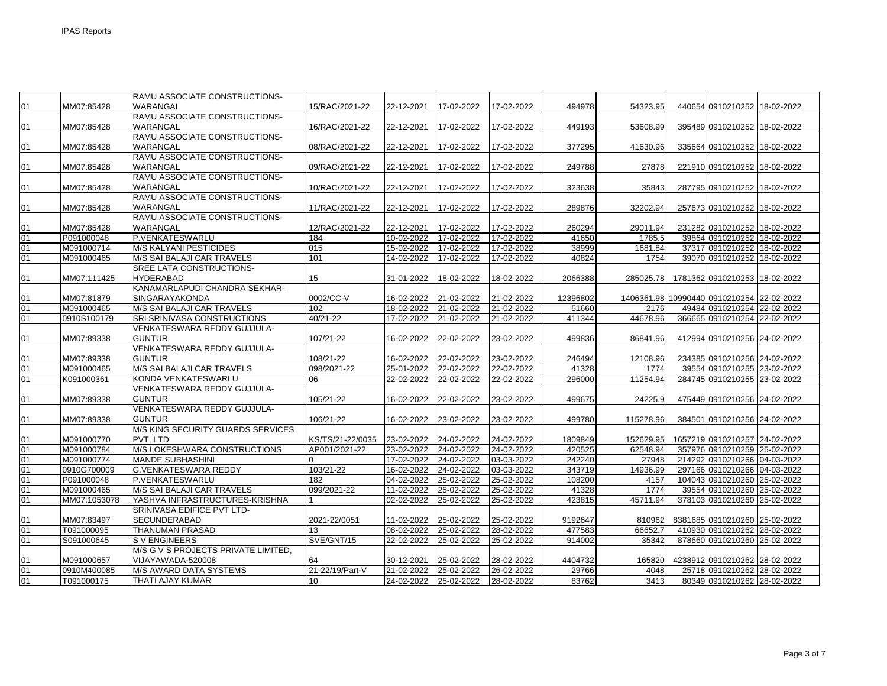|          |              | RAMU ASSOCIATE CONSTRUCTIONS-                              |                  |            |            |            |          |           |                                           |  |
|----------|--------------|------------------------------------------------------------|------------------|------------|------------|------------|----------|-----------|-------------------------------------------|--|
| 01       | MM07:85428   | WARANGAL                                                   | 15/RAC/2021-22   | 22-12-2021 | 17-02-2022 | 17-02-2022 | 494978   | 54323.95  | 440654 0910210252 18-02-2022              |  |
|          |              | RAMU ASSOCIATE CONSTRUCTIONS-                              |                  |            |            |            |          |           |                                           |  |
| 01       | MM07:85428   | <b>WARANGAL</b>                                            | 16/RAC/2021-22   | 22-12-2021 | 17-02-2022 | 17-02-2022 | 449193   | 53608.99  | 395489 0910210252 18-02-2022              |  |
|          |              | RAMU ASSOCIATE CONSTRUCTIONS-                              |                  |            |            |            |          |           |                                           |  |
| 01       | MM07:85428   | WARANGAL                                                   | 08/RAC/2021-22   | 22-12-2021 | 17-02-2022 | 17-02-2022 | 377295   | 41630.96  | 335664 0910210252 18-02-2022              |  |
|          |              | RAMU ASSOCIATE CONSTRUCTIONS-                              |                  |            |            |            |          |           |                                           |  |
| 01       | MM07:85428   | WARANGAL                                                   | 09/RAC/2021-22   | 22-12-2021 | 17-02-2022 | 17-02-2022 | 249788   | 27878     | 221910 0910210252 18-02-2022              |  |
|          |              | RAMU ASSOCIATE CONSTRUCTIONS-                              |                  |            |            |            |          |           |                                           |  |
| 01       | MM07:85428   | <b>WARANGAL</b>                                            | 10/RAC/2021-22   | 22-12-2021 | 17-02-2022 | 17-02-2022 | 323638   | 35843     | 287795 0910210252 18-02-2022              |  |
|          |              | RAMU ASSOCIATE CONSTRUCTIONS-                              |                  |            |            |            |          |           |                                           |  |
| 01       | MM07:85428   | WARANGAL                                                   | 11/RAC/2021-22   | 22-12-2021 | 17-02-2022 | 17-02-2022 | 289876   | 32202.94  | 257673 0910210252 18-02-2022              |  |
|          |              | RAMU ASSOCIATE CONSTRUCTIONS-                              |                  |            |            |            |          |           |                                           |  |
| 01       | MM07:85428   | WARANGAL                                                   | 12/RAC/2021-22   | 22-12-2021 | 17-02-2022 | 17-02-2022 | 260294   | 29011.94  | 231282 0910210252 18-02-2022              |  |
| 01       | P091000048   | P.VENKATESWARLU                                            | 184              | 10-02-2022 | 17-02-2022 | 17-02-2022 | 41650    | 1785.5    | 39864 0910210252 18-02-2022               |  |
| 01       | M091000714   | <b>M/S KALYANI PESTICIDES</b>                              | 015              | 15-02-2022 | 17-02-2022 | 17-02-2022 | 38999    | 1681.84   | 37317 0910210252 18-02-2022               |  |
| 01       | M091000465   | M/S SAI BALAJI CAR TRAVELS                                 | 101              | 14-02-2022 | 17-02-2022 | 17-02-2022 | 40824    | 1754      | 39070 0910210252 18-02-2022               |  |
|          |              | SREE LATA CONSTRUCTIONS-                                   |                  |            |            |            |          |           |                                           |  |
| 01       | MM07:111425  | <b>HYDERABAD</b>                                           | 15               | 31-01-2022 | 18-02-2022 | 18-02-2022 | 2066388  | 285025.78 | 1781362 0910210253 18-02-2022             |  |
|          |              | KANAMARLAPUDI CHANDRA SEKHAR-                              |                  |            |            |            |          |           |                                           |  |
| 01       | MM07:81879   | <b>SINGARAYAKONDA</b><br><b>M/S SAI BALAJI CAR TRAVELS</b> | 0002/CC-V        | 16-02-2022 | 21-02-2022 | 21-02-2022 | 12396802 |           | 1406361.98 10990440 0910210254 22-02-2022 |  |
| 01<br>01 | M091000465   | SRI SRINIVASA CONSTRUCTIONS                                | 102<br>40/21-22  | 18-02-2022 | 21-02-2022 | 21-02-2022 | 51660    | 2176      | 49484 0910210254 22-02-2022               |  |
|          | 0910S100179  | VENKATESWARA REDDY GUJJULA-                                |                  | 17-02-2022 | 21-02-2022 | 21-02-2022 | 411344   | 44678.96  | 366665 0910210254 22-02-2022              |  |
|          | MM07:89338   | <b>GUNTUR</b>                                              | 107/21-22        | 16-02-2022 | 22-02-2022 | 23-02-2022 | 499836   | 86841.96  | 412994 0910210256 24-02-2022              |  |
| 01       |              | VENKATESWARA REDDY GUJJULA-                                |                  |            |            |            |          |           |                                           |  |
| 01       | MM07:89338   | <b>GUNTUR</b>                                              | 108/21-22        | 16-02-2022 | 22-02-2022 | 23-02-2022 | 246494   | 12108.96  | 234385 0910210256 24-02-2022              |  |
| 01       | M091000465   | M/S SAI BALAJI CAR TRAVELS                                 | 098/2021-22      | 25-01-2022 | 22-02-2022 | 22-02-2022 | 41328    | 1774      | 39554 0910210255 23-02-2022               |  |
| 01       | K091000361   | KONDA VENKATESWARLU                                        | 06               | 22-02-2022 | 22-02-2022 | 22-02-2022 | 296000   | 11254.94  | 284745 0910210255 23-02-2022              |  |
|          |              | VENKATESWARA REDDY GUJJULA-                                |                  |            |            |            |          |           |                                           |  |
| 01       | MM07:89338   | <b>GUNTUR</b>                                              | 105/21-22        | 16-02-2022 | 22-02-2022 | 23-02-2022 | 499675   | 24225.9   | 475449 0910210256 24-02-2022              |  |
|          |              | VENKATESWARA REDDY GUJJULA-                                |                  |            |            |            |          |           |                                           |  |
| 01       | MM07:89338   | <b>GUNTUR</b>                                              | 106/21-22        | 16-02-2022 | 23-02-2022 | 23-02-2022 | 499780   | 115278.96 | 384501 0910210256 24-02-2022              |  |
|          |              | <b>M/S KING SECURITY GUARDS SERVICES</b>                   |                  |            |            |            |          |           |                                           |  |
| 01       | M091000770   | PVT. LTD                                                   | KS/TS/21-22/0035 | 23-02-2022 | 24-02-2022 | 24-02-2022 | 1809849  | 152629.95 | 1657219 0910210257 24-02-2022             |  |
| 01       | M091000784   | M/S LOKESHWARA CONSTRUCTIONS                               | AP001/2021-22    | 23-02-2022 | 24-02-2022 | 24-02-2022 | 420525   | 62548.94  | 357976 0910210259 25-02-2022              |  |
| 01       | M091000774   | <b>MANDE SUBHASHINI</b>                                    |                  | 17-02-2022 | 24-02-2022 | 03-03-2022 | 242240   | 27948     | 214292 0910210266 04-03-2022              |  |
| 01       | 0910G700009  | <b>G.VENKATESWARA REDDY</b>                                | 103/21-22        | 16-02-2022 | 24-02-2022 | 03-03-2022 | 343719   | 14936.99  | 297166 0910210266 04-03-2022              |  |
| 01       | P091000048   | P.VENKATESWARLU                                            | 182              | 04-02-2022 | 25-02-2022 | 25-02-2022 | 108200   | 4157      | 104043 0910210260 25-02-2022              |  |
| 01       | M091000465   | M/S SAI BALAJI CAR TRAVELS                                 | 099/2021-22      | 11-02-2022 | 25-02-2022 | 25-02-2022 | 41328    | 1774      | 39554 0910210260 25-02-2022               |  |
| 01       | MM07:1053078 | YASHVA INFRASTRUCTURES-KRISHNA                             |                  | 02-02-2022 | 25-02-2022 | 25-02-2022 | 423815   | 45711.94  | 378103 0910210260 25-02-2022              |  |
|          |              | SRINIVASA EDIFICE PVT LTD-                                 |                  |            |            |            |          |           |                                           |  |
| 01       | MM07:83497   | <b>SECUNDERABAD</b>                                        | 2021-22/0051     | 11-02-2022 | 25-02-2022 | 25-02-2022 | 9192647  | 810962    | 8381685 0910210260 25-02-2022             |  |
| 01       | T091000095   | THANUMAN PRASAD                                            | 13               | 08-02-2022 | 25-02-2022 | 28-02-2022 | 477583   | 66652.7   | 410930 0910210262 28-02-2022              |  |
| 01       | S091000645   | <b>SVENGINEERS</b>                                         | SVE/GNT/15       | 22-02-2022 | 25-02-2022 | 25-02-2022 | 914002   | 35342     | 878660 0910210260 25-02-2022              |  |
|          |              | M/S G V S PROJECTS PRIVATE LIMITED,                        |                  |            |            |            |          |           |                                           |  |
| 01       | M091000657   | VIJAYAWADA-520008                                          | 64               | 30-12-2021 | 25-02-2022 | 28-02-2022 | 4404732  | 165820    | 4238912 0910210262 28-02-2022             |  |
| 01       | 0910M400085  | <b>M/S AWARD DATA SYSTEMS</b>                              | 21-22/19/Part-V  | 21-02-2022 | 25-02-2022 | 26-02-2022 | 29766    | 4048      | 25718 0910210262 28-02-2022               |  |
| 01       | T091000175   | <b>THATI AJAY KUMAR</b>                                    | 10               | 24-02-2022 | 25-02-2022 | 28-02-2022 | 83762    | 3413      | 80349 0910210262 28-02-2022               |  |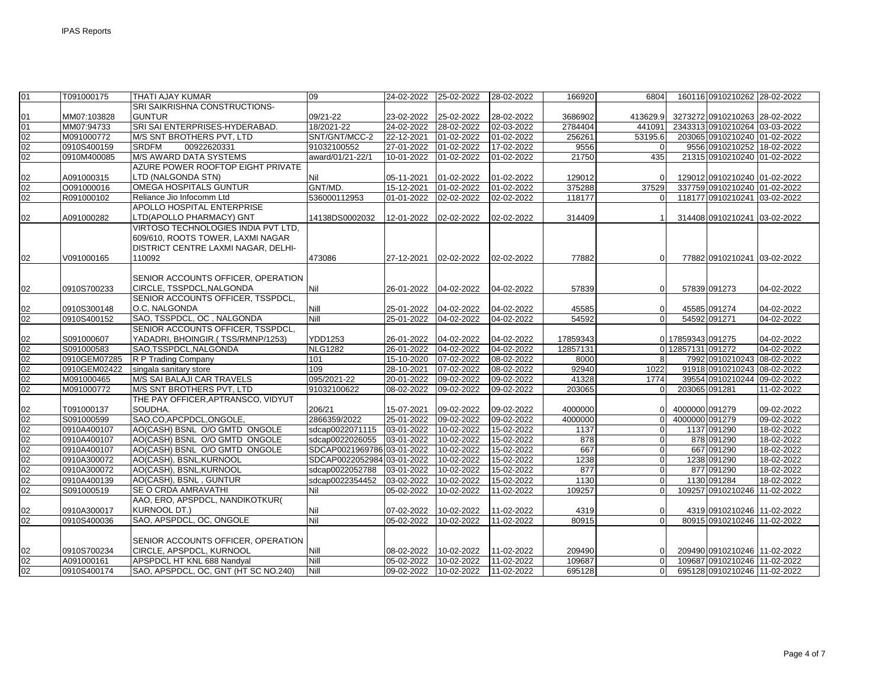| 01 | T091000175   | THATI AJAY KUMAR                     | 09                         | 24-02-2022       | 25-02-2022 | 28-02-2022       | 166920   | 6804           |                   | 160116 0910210262 28-02-2022  |            |
|----|--------------|--------------------------------------|----------------------------|------------------|------------|------------------|----------|----------------|-------------------|-------------------------------|------------|
|    |              | SRI SAIKRISHNA CONSTRUCTIONS-        |                            |                  |            |                  |          |                |                   |                               |            |
| 01 | MM07:103828  | <b>GUNTUR</b>                        | 09/21-22                   | 23-02-2022       | 25-02-2022 | 28-02-2022       | 3686902  | 413629.9       |                   | 3273272 0910210263 28-02-2022 |            |
| 01 | MM07:94733   | SRI SAI ENTERPRISES-HYDERABAD.       | 18/2021-22                 | 24-02-2022       | 28-02-2022 | 02-03-2022       | 2784404  | 441091         |                   | 2343313 0910210264 03-03-2022 |            |
| 02 | M091000772   | M/S SNT BROTHERS PVT. LTD            | SNT/GNT/MCC-2              | 22-12-2021       | 01-02-2022 | 01-02-2022       | 256261   | 53195.6        |                   | 203065 0910210240 01-02-2022  |            |
| 02 | 0910S400159  | <b>SRDFM</b><br>00922620331          | 91032100552                | 27-01-2022       | 01-02-2022 | 17-02-2022       | 9556     | $\Omega$       |                   | 9556 0910210252 18-02-2022    |            |
| 02 | 0910M400085  | <b>M/S AWARD DATA SYSTEMS</b>        | award/01/21-22/1           | 10-01-2022       | 01-02-2022 | 01-02-2022       | 21750    | 435            |                   | 21315 0910210240 01-02-2022   |            |
|    |              | AZURE POWER ROOFTOP EIGHT PRIVATE    |                            |                  |            |                  |          |                |                   |                               |            |
| 02 | A091000315   | LTD (NALGONDA STN)                   | Nil                        | 05-11-2021       | 01-02-2022 | 01-02-2022       | 129012   | 0              |                   | 129012 0910210240 01-02-2022  |            |
| 02 | O091000016   | <b>OMEGA HOSPITALS GUNTUR</b>        | GNT/MD.                    | 15-12-2021       | 01-02-2022 | 01-02-2022       | 375288   | 37529          |                   | 337759 0910210240 01-02-2022  |            |
| 02 | R091000102   | Reliance Jio Infocomm Ltd            | 536000112953               | 01-01-2022       | 02-02-2022 | 02-02-2022       | 118177   | U              |                   | 118177 0910210241 03-02-2022  |            |
|    |              | APOLLO HOSPITAL ENTERPRISE           |                            |                  |            |                  |          |                |                   |                               |            |
| 02 | A091000282   | LTD(APOLLO PHARMACY) GNT             | 14138DS0002032             | 12-01-2022       | 02-02-2022 | 02-02-2022       | 314409   |                |                   | 314408 0910210241 03-02-2022  |            |
|    |              | VIRTOSO TECHNOLOGIES INDIA PVT LTD.  |                            |                  |            |                  |          |                |                   |                               |            |
|    |              | 609/610, ROOTS TOWER, LAXMI NAGAR    |                            |                  |            |                  |          |                |                   |                               |            |
|    |              | DISTRICT CENTRE LAXMI NAGAR, DELHI-  |                            |                  |            |                  |          |                |                   |                               |            |
| 02 | V091000165   | 110092                               | 473086                     | 27-12-2021       | 02-02-2022 | 02-02-2022       | 77882    | $\Omega$       |                   | 77882 0910210241 03-02-2022   |            |
|    |              |                                      |                            |                  |            |                  |          |                |                   |                               |            |
|    |              | SENIOR ACCOUNTS OFFICER, OPERATION   |                            |                  |            |                  |          |                |                   |                               |            |
| 02 | 0910S700233  | CIRCLE, TSSPDCL, NALGONDA            | Nil                        | 26-01-2022       | 04-02-2022 | 04-02-2022       | 57839    | $\Omega$       |                   | 57839 091273                  | 04-02-2022 |
|    |              | SENIOR ACCOUNTS OFFICER, TSSPDCL,    |                            |                  |            |                  |          |                |                   |                               |            |
| 02 | 0910S300148  | O.C. NALGONDA                        | <b>Nill</b>                | 25-01-2022       | 04-02-2022 | 04-02-2022       | 45585    | $\Omega$       |                   | 45585 091274                  | 04-02-2022 |
| 02 | 0910S400152  | SAO, TSSPDCL, OC, NALGONDA           | Nill                       | 25-01-2022       | 04-02-2022 | 04-02-2022       | 54592    | $\Omega$       |                   | 54592 091271                  | 04-02-2022 |
|    |              | SENIOR ACCOUNTS OFFICER, TSSPDCL,    |                            |                  |            |                  |          |                |                   |                               |            |
| 02 | S091000607   | YADADRI, BHOINGIR.(TSS/RMNP/1253)    | <b>YDD1253</b>             | 26-01-2022       | 04-02-2022 | 04-02-2022       | 17859343 |                | 0 17859343 091275 |                               | 04-02-2022 |
| 02 | S091000583   | SAO,TSSPDCL,NALGONDA                 | <b>NLG1282</b>             | $26 - 01 - 2022$ | 04-02-2022 | 04-02-2022       | 12857131 | $\Omega$       | 12857131 091272   |                               | 04-02-2022 |
| 02 | 0910GEM07285 | R P Trading Company                  | 101                        | 15-10-2020       | 07-02-2022 | 08-02-2022       | 8000     | 8              |                   | 7992 0910210243 08-02-2022    |            |
| 02 | 0910GEM02422 | singala sanitary store               | 109                        | 28-10-2021       | 07-02-2022 | 08-02-2022       | 92940    | 1022           |                   | 91918 0910210243 08-02-2022   |            |
| 02 | M091000465   | M/S SAI BALAJI CAR TRAVELS           | 095/2021-22                | 20-01-2022       | 09-02-2022 | 09-02-2022       | 41328    | 1774           |                   | 39554 0910210244 09-02-2022   |            |
| 02 | M091000772   | M/S SNT BROTHERS PVT, LTD            | 91032100622                | 08-02-2022       | 09-02-2022 | 09-02-2022       | 203065   |                |                   | 203065 091281                 | 11-02-2022 |
|    |              | THE PAY OFFICER, APTRANSCO, VIDYUT   |                            |                  |            |                  |          |                |                   |                               |            |
| 02 | T091000137   | SOUDHA.                              | 206/21                     | 15-07-2021       | 09-02-2022 | 09-02-2022       | 4000000  | $\Omega$       | 4000000 091279    |                               | 09-02-2022 |
| 02 | S091000599   | SAO,CO,APCPDCL,ONGOLE,               | 2866359/2022               | 25-01-2022       | 09-02-2022 | 09-02-2022       | 4000000  | $\Omega$       | 4000000 091279    |                               | 09-02-2022 |
| 02 | 0910A400107  | AO(CASH) BSNL O/O GMTD ONGOLE        | sdcap0022071115            | 03-01-2022       | 10-02-2022 | 15-02-2022       | 1137     | 0              |                   | 1137 091290                   | 18-02-2022 |
| 02 | 0910A400107  | AO(CASH) BSNL O/O GMTD ONGOLE        | sdcap0022026055            | 03-01-2022       | 10-02-2022 | 15-02-2022       | 878      | $\overline{0}$ |                   | 878 091290                    | 18-02-2022 |
| 02 | 0910A400107  | AO(CASH) BSNL O/O GMTD ONGOLE        | SDCAP0021969786 03-01-2022 |                  | 10-02-2022 | 15-02-2022       | 667      | $\overline{0}$ |                   | 667 091290                    | 18-02-2022 |
| 02 | 0910A300072  | AO(CASH), BSNL, KURNOOL              | SDCAP0022052984 03-01-2022 |                  | 10-02-2022 | 15-02-2022       | 1238     | $\overline{0}$ |                   | 1238 091290                   | 18-02-2022 |
| 02 | 0910A300072  | AO(CASH), BSNL, KURNOOL              | sdcap0022052788            | 03-01-2022       | 10-02-2022 | 15-02-2022       | 877      | $\Omega$       |                   | 877 091290                    | 18-02-2022 |
| 02 | 0910A400139  | AO(CASH), BSNL, GUNTUR               | sdcap0022354452            | 03-02-2022       | 10-02-2022 | 15-02-2022       | 1130     | 0              |                   | 1130 091284                   | 18-02-2022 |
| 02 | S091000519   | SE O CRDA AMRAVATHI                  | Nil                        | 05-02-2022       | 10-02-2022 | 11-02-2022       | 109257   | $\Omega$       |                   | 109257 0910210246 11-02-2022  |            |
|    |              | AAO, ERO, APSPDCL, NANDIKOTKUR(      |                            |                  |            |                  |          |                |                   |                               |            |
| 02 | 0910A300017  | <b>KURNOOL DT.)</b>                  | Nil                        | 07-02-2022       | 10-02-2022 | 11-02-2022       | 4319     | $\Omega$       |                   | 4319 0910210246 11-02-2022    |            |
| 02 | 0910S400036  | SAO, APSPDCL, OC, ONGOLE             | Nil                        | 05-02-2022       | 10-02-2022 | 11-02-2022       | 80915    | $\Omega$       |                   | 80915 0910210246 11-02-2022   |            |
|    |              |                                      |                            |                  |            |                  |          |                |                   |                               |            |
|    |              | SENIOR ACCOUNTS OFFICER, OPERATION   |                            |                  |            |                  |          |                |                   |                               |            |
| 02 | 0910S700234  | CIRCLE, APSPDCL, KURNOOL             | Nill                       | 08-02-2022       | 10-02-2022 | 11-02-2022       | 209490   | 0              |                   | 209490 0910210246 11-02-2022  |            |
| 02 | A091000161   | APSPDCL HT KNL 688 Nandyal           | Nill                       | 05-02-2022       | 10-02-2022 | $11 - 02 - 2022$ | 109687   | $\Omega$       |                   | 109687 0910210246 11-02-2022  |            |
| 02 | 0910S400174  | SAO, APSPDCL, OC, GNT (HT SC NO.240) | <b>Nill</b>                | 09-02-2022       | 10-02-2022 | 11-02-2022       | 695128   | $\overline{0}$ |                   | 695128 0910210246 11-02-2022  |            |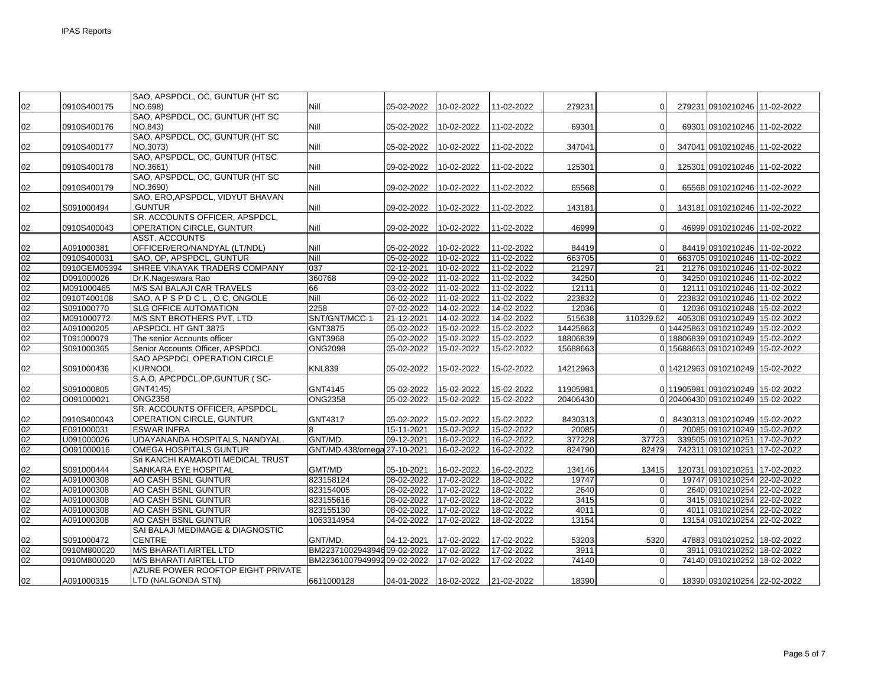|                 |                           | SAO, APSPDCL, OC, GUNTUR (HT SC                  |                             |                          |                          |                          |                    |                       |                                                             |            |
|-----------------|---------------------------|--------------------------------------------------|-----------------------------|--------------------------|--------------------------|--------------------------|--------------------|-----------------------|-------------------------------------------------------------|------------|
| 02              | 0910S400175               | NO.698)                                          | Nill                        | 05-02-2022               | 10-02-2022               | 11-02-2022               | 279231             | $\Omega$              | 279231 0910210246 11-02-2022                                |            |
|                 |                           | SAO, APSPDCL, OC, GUNTUR (HT SC                  |                             |                          |                          |                          |                    |                       |                                                             |            |
| 02              | 0910S400176               | NO.843)                                          | Nill                        | 05-02-2022               | 10-02-2022               | 11-02-2022               | 69301              | $\Omega$              | 69301 0910210246 11-02-2022                                 |            |
|                 |                           | SAO, APSPDCL, OC, GUNTUR (HT SC                  |                             |                          |                          |                          |                    |                       |                                                             |            |
| 02              | 0910S400177               | NO.3073)                                         | Nill                        | 05-02-2022               | 10-02-2022               | 11-02-2022               | 347041             | $\overline{0}$        | 347041 0910210246 11-02-2022                                |            |
|                 |                           | SAO, APSPDCL, OC, GUNTUR (HTSC                   |                             |                          |                          |                          |                    |                       |                                                             |            |
| 02              | 0910S400178               | NO.3661)                                         | Nill                        | 09-02-2022               | 10-02-2022               | 11-02-2022               | 125301             | $\Omega$              | 125301 0910210246 11-02-2022                                |            |
|                 |                           | SAO, APSPDCL, OC, GUNTUR (HT SC                  |                             |                          |                          |                          |                    |                       |                                                             |            |
| 02              | 0910S400179               | NO.3690)                                         | Nill                        | 09-02-2022               | 10-02-2022               | 11-02-2022               | 65568              | $\overline{0}$        | 65568 0910210246 11-02-2022                                 |            |
|                 |                           | SAO, ERO, APSPDCL, VIDYUT BHAVAN                 |                             |                          |                          |                          |                    |                       |                                                             |            |
| 02              | S091000494                | GUNTUR.                                          | Nill                        | 09-02-2022               | 10-02-2022               | 11-02-2022               | 143181             | $\overline{0}$        | 143181 0910210246 11-02-2022                                |            |
|                 |                           | SR. ACCOUNTS OFFICER, APSPDCL,                   |                             |                          |                          |                          |                    |                       |                                                             |            |
| 02              | 0910S400043               | OPERATION CIRCLE, GUNTUR                         | Nill                        | 09-02-2022               | 10-02-2022               | 11-02-2022               | 46999              | $\Omega$              | 46999 0910210246 11-02-2022                                 |            |
|                 |                           | <b>ASST. ACCOUNTS</b>                            |                             |                          |                          |                          |                    |                       |                                                             |            |
| 02              | A091000381                | OFFICER/ERO/NANDYAL (LT/NDL)                     | Nill                        | 05-02-2022               | 10-02-2022               | 11-02-2022               | 84419              | $\Omega$              | 84419 0910210246 11-02-2022                                 |            |
| 02              | 0910S400031               | SAO, OP, APSPDCL, GUNTUR                         | Nill                        | 05-02-2022               | 10-02-2022               | 11-02-2022               | 663705             | U                     | 663705 0910210246 11-02-2022                                |            |
| 02              | 0910GEM05394              | SHREE VINAYAK TRADERS COMPANY                    | 037                         | 02-12-2021               | 10-02-2022               | 11-02-2022               | 21297              | 21                    | 21276 0910210246 11-02-2022                                 |            |
| 02              | D091000026                | Dr.K.Nageswara Rao<br>M/S SAI BALAJI CAR TRAVELS | 360768                      | 09-02-2022               | 11-02-2022               | 11-02-2022               | 34250              | 0<br>$\Omega$         | 34250 0910210246 11-02-2022                                 |            |
| 02<br>02        | M091000465<br>0910T400108 | SAO, APSPDCL, O.C, ONGOLE                        | 66<br>Nill                  | 03-02-2022               | 11-02-2022               | 11-02-2022<br>11-02-2022 | 12111<br>223832    |                       | 12111 0910210246 11-02-2022<br>223832 0910210246 11-02-2022 |            |
| 02              | S091000770                | <b>SLG OFFICE AUTOMATION</b>                     | 2258                        | $06 - 02 - 2022$         | 11-02-2022               | 14-02-2022               |                    |                       | 12036 0910210248 15-02-2022                                 |            |
| 02              |                           |                                                  |                             | 07-02-2022<br>21-12-2021 | 14-02-2022               |                          | 12036              |                       |                                                             |            |
| 02              | M091000772<br>A091000205  | M/S SNT BROTHERS PVT, LTD<br>APSPDCL HT GNT 3875 | SNT/GNT/MCC-1<br>GNT3875    | 05-02-2022               | 14-02-2022<br>15-02-2022 | 14-02-2022<br>15-02-2022 | 515638<br>14425863 | 110329.62<br>$\Omega$ | 405308 0910210249 15-02-2022<br>14425863 0910210249         | 15-02-2022 |
| 02              | T091000079                | The senior Accounts officer                      | GNT3968                     | 05-02-2022               | 15-02-2022               | 15-02-2022               | 18806839           | $\Omega$              | 18806839 0910210249                                         | 15-02-2022 |
| 02              | S091000365                | Senior Accounts Officer, APSPDCL                 | <b>ONG2098</b>              | 05-02-2022               | 15-02-2022               | 15-02-2022               | 15688663           | $\Omega$              | 15688663 0910210249                                         | 15-02-2022 |
|                 |                           | SAO APSPDCL OPERATION CIRCLE                     |                             |                          |                          |                          |                    |                       |                                                             |            |
| 02              | S091000436                | <b>KURNOOL</b>                                   | <b>KNL839</b>               | 05-02-2022               | 15-02-2022               | 15-02-2022               | 14212963           |                       | 0 14212963 0910210249 15-02-2022                            |            |
|                 |                           | S.A.O, APCPDCL, OP, GUNTUR (SC-                  |                             |                          |                          |                          |                    |                       |                                                             |            |
| 02              | S091000805                | GNT4145)                                         | GNT4145                     | 05-02-2022               | 15-02-2022               | 15-02-2022               | 11905981           |                       | 0 11905981 0910210249 15-02-2022                            |            |
| 02              | 0091000021                | <b>ONG2358</b>                                   | <b>ONG2358</b>              | 05-02-2022               | 15-02-2022               | 15-02-2022               | 20406430           |                       | 0 20406430 0910210249 15-02-2022                            |            |
|                 |                           | SR. ACCOUNTS OFFICER, APSPDCL,                   |                             |                          |                          |                          |                    |                       |                                                             |            |
| 02              | 0910S400043               | <b>OPERATION CIRCLE, GUNTUR</b>                  | GNT4317                     | 05-02-2022               | 15-02-2022               | 15-02-2022               | 8430313            | 0                     | 8430313 0910210249 15-02-2022                               |            |
| $\overline{02}$ | E091000031                | <b>ESWAR INFRA</b>                               | 8                           | 15-11-2021               | 15-02-2022               | 15-02-2022               | 20085              |                       | 20085 0910210249 15-02-2022                                 |            |
| 02              | U091000026                | UDAYANANDA HOSPITALS, NANDYAL                    | GNT/MD.                     | 09-12-2021               | 16-02-2022               | 16-02-2022               | 377228             | 37723                 | 339505 0910210251 17-02-2022                                |            |
| 02              | O091000016                | OMEGA HOSPITALS GUNTUR                           | GNT/MD.438/omega 27-10-2021 |                          | 16-02-2022               | 16-02-2022               | 824790             | 82479                 | 742311 0910210251 17-02-2022                                |            |
|                 |                           | Sri KANCHI KAMAKOTI MEDICAL TRUST                |                             |                          |                          |                          |                    |                       |                                                             |            |
| 02              | S091000444                | SANKARA EYE HOSPITAL                             | GMT/MD                      | 05-10-2021               | 16-02-2022               | 16-02-2022               | 134146             | 13415                 | 120731 0910210251 17-02-2022                                |            |
| 02              | A091000308                | AO CASH BSNL GUNTUR                              | 823158124                   | 08-02-2022               | 17-02-2022               | 18-02-2022               | 19747              | $\overline{0}$        | 19747 0910210254 22-02-2022                                 |            |
| 02              | A091000308                | AO CASH BSNL GUNTUR                              | 823154005                   | 08-02-2022               | 17-02-2022               | 18-02-2022               | 2640               | $\Omega$              | 2640 0910210254 22-02-2022                                  |            |
| 02              | A091000308                | AO CASH BSNL GUNTUR                              | 823155616                   | 08-02-2022               | 17-02-2022               | 18-02-2022               | 3415               | $\Omega$              | 3415 0910210254 22-02-2022                                  |            |
| 02              | A091000308                | AO CASH BSNL GUNTUR                              | 823155130                   | 08-02-2022               | 17-02-2022               | 18-02-2022               | 4011               | $\overline{0}$        | 4011 0910210254 22-02-2022                                  |            |
| 02              | A091000308                | AO CASH BSNL GUNTUR                              | 1063314954                  | 04-02-2022               | 17-02-2022               | 18-02-2022               | 13154              | $\Omega$              | 13154 0910210254 22-02-2022                                 |            |
|                 |                           | SAI BALAJI MEDIMAGE & DIAGNOSTIC                 |                             |                          |                          |                          |                    |                       |                                                             |            |
| 02              | S091000472                | <b>CENTRE</b>                                    | GNT/MD.                     | 04-12-2021               | 17-02-2022               | 17-02-2022               | 53203              | 5320                  | 47883 0910210252 18-02-2022                                 |            |
| 02              | 0910M800020               | <b>M/S BHARATI AIRTEL LTD</b>                    | BM2237100294394609-02-2022  |                          | 17-02-2022               | 17-02-2022               | 3911               | 0                     | 3911 0910210252 18-02-2022                                  |            |
| $\overline{02}$ | 0910M800020               | <b>M/S BHARATI AIRTEL LTD</b>                    | BM2236100794999209-02-2022  |                          | 17-02-2022               | 17-02-2022               | 74140              | $\Omega$              | 74140 0910210252 18-02-2022                                 |            |
|                 |                           | AZURE POWER ROOFTOP EIGHT PRIVATE                |                             |                          |                          |                          |                    |                       |                                                             |            |
| 02              | A091000315                | LTD (NALGONDA STN)                               | 6611000128                  | 04-01-2022               | 18-02-2022               | 21-02-2022               | 18390              | 0                     | 18390 0910210254 22-02-2022                                 |            |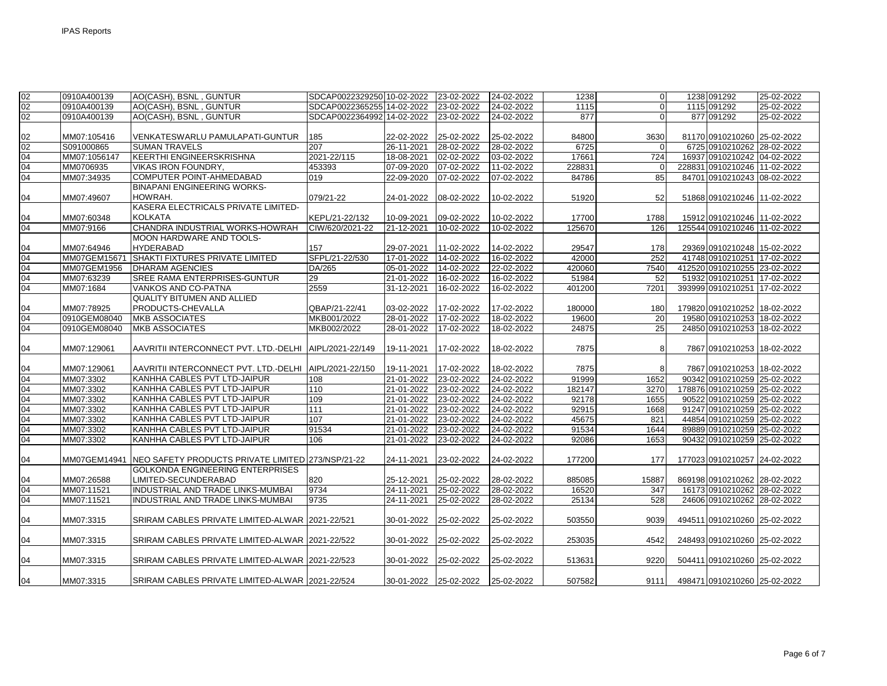| 02 | 0910A400139  | AO(CASH), BSNL, GUNTUR                                         | SDCAP0022329250 10-02-2022 |            | 23-02-2022            | 24-02-2022 | 1238   | $\Omega$       | 1238 091292                  | 25-02-2022 |
|----|--------------|----------------------------------------------------------------|----------------------------|------------|-----------------------|------------|--------|----------------|------------------------------|------------|
| 02 | 0910A400139  | AO(CASH), BSNL, GUNTUR                                         | SDCAP0022365255 14-02-2022 |            | 23-02-2022            | 24-02-2022 | 1115   | $\overline{0}$ | 1115 091292                  | 25-02-2022 |
| 02 | 0910A400139  | AO(CASH), BSNL, GUNTUR                                         | SDCAP0022364992 14-02-2022 |            | 23-02-2022            | 24-02-2022 | 877    | $\Omega$       | 877 091292                   | 25-02-2022 |
|    |              |                                                                |                            |            |                       |            |        |                |                              |            |
| 02 | MM07:105416  | VENKATESWARLU PAMULAPATI-GUNTUR                                | 185                        | 22-02-2022 | 25-02-2022            | 25-02-2022 | 84800  | 3630           | 81170 0910210260 25-02-2022  |            |
| 02 | S091000865   | <b>SUMAN TRAVELS</b>                                           | 207                        | 26-11-2021 | 28-02-2022            | 28-02-2022 | 6725   | $\Omega$       | 6725 0910210262 28-02-2022   |            |
| 04 | MM07:1056147 | <b>KEERTHI ENGINEERSKRISHNA</b>                                | 2021-22/115                | 18-08-2021 | 02-02-2022            | 03-02-2022 | 17661  | 724            | 16937 0910210242 04-02-2022  |            |
| 04 | MM0706935    | <b>VIKAS IRON FOUNDRY,</b>                                     | 453393                     | 07-09-2020 | 07-02-2022            | 11-02-2022 | 228831 | $\Omega$       | 228831 0910210246 11-02-2022 |            |
| 04 | MM07:34935   | COMPUTER POINT-AHMEDABAD                                       | 019                        | 22-09-2020 | 07-02-2022            | 07-02-2022 | 84786  | 85             | 84701 0910210243 08-02-2022  |            |
|    |              | <b>BINAPANI ENGINEERING WORKS-</b>                             |                            |            |                       |            |        |                |                              |            |
| 04 | MM07:49607   | HOWRAH.                                                        | 079/21-22                  | 24-01-2022 | 08-02-2022            | 10-02-2022 | 51920  | 52             | 51868 0910210246 11-02-2022  |            |
|    |              | KASERA ELECTRICALS PRIVATE LIMITED-                            |                            |            |                       |            |        |                |                              |            |
| 04 | MM07:60348   | <b>KOLKATA</b>                                                 | KEPL/21-22/132             | 10-09-2021 | 09-02-2022            | 10-02-2022 | 17700  | 1788           | 15912 0910210246 11-02-2022  |            |
| 04 | MM07:9166    | CHANDRA INDUSTRIAL WORKS-HOWRAH                                | CIW/620/2021-22            | 21-12-2021 | 10-02-2022            | 10-02-2022 | 125670 | 126            | 125544 0910210246 11-02-2022 |            |
|    |              | MOON HARDWARE AND TOOLS-                                       |                            |            |                       |            |        |                |                              |            |
| 04 | MM07:64946   | <b>HYDERABAD</b>                                               | 157                        | 29-07-2021 | 11-02-2022            | 14-02-2022 | 29547  | 178            | 29369 0910210248 15-02-2022  |            |
| 04 | MM07GEM15671 | SHAKTI FIXTURES PRIVATE LIMITED                                | SFPL/21-22/530             | 17-01-2022 | 14-02-2022            | 16-02-2022 | 42000  | 252            | 41748 0910210251 17-02-2022  |            |
| 04 | MM07GEM1956  | <b>DHARAM AGENCIES</b>                                         | DA/265                     | 05-01-2022 | 14-02-2022            | 22-02-2022 | 420060 | 7540           | 412520 0910210255 23-02-2022 |            |
| 04 | MM07:63239   | SREE RAMA ENTERPRISES-GUNTUR                                   | 29                         | 21-01-2022 | 16-02-2022            | 16-02-2022 | 51984  | 52             | 51932 0910210251 17-02-2022  |            |
| 04 | MM07:1684    | VANKOS AND CO-PATNA                                            | 2559                       | 31-12-2021 | 16-02-2022            | 16-02-2022 | 401200 | 7201           | 393999 0910210251 17-02-2022 |            |
|    |              | <b>QUALITY BITUMEN AND ALLIED</b>                              |                            |            |                       |            |        |                |                              |            |
| 04 | MM07:78925   | PRODUCTS-CHEVALLA                                              | QBAP/21-22/41              | 03-02-2022 | 17-02-2022            | 17-02-2022 | 180000 | 180            | 179820 0910210252 18-02-2022 |            |
| 04 | 0910GEM08040 | <b>MKB ASSOCIATES</b>                                          | MKB001/2022                | 28-01-2022 | 17-02-2022            | 18-02-2022 | 19600  | 20             | 19580 0910210253 18-02-2022  |            |
| 04 | 0910GEM08040 | <b>MKB ASSOCIATES</b>                                          | MKB002/2022                | 28-01-2022 | 17-02-2022            | 18-02-2022 | 24875  | 25             | 24850 0910210253 18-02-2022  |            |
|    |              |                                                                |                            |            |                       |            |        |                |                              |            |
| 04 | MM07:129061  | AAVRITII INTERCONNECT PVT. LTD.-DELHI   AIPL/2021-22/149       |                            | 19-11-2021 | 17-02-2022            | 18-02-2022 | 7875   | 8              | 7867 0910210253 18-02-2022   |            |
|    |              |                                                                |                            |            |                       |            |        |                |                              |            |
| 04 | MM07:129061  | AAVRITII INTERCONNECT PVT. LTD.-DELHI   AIPL/2021-22/150       |                            | 19-11-2021 | 17-02-2022            | 18-02-2022 | 7875   |                | 7867 0910210253 18-02-2022   |            |
| 04 | MM07:3302    | KANHHA CABLES PVT LTD-JAIPUR                                   | 108                        | 21-01-2022 | 23-02-2022            | 24-02-2022 | 91999  | 1652           | 90342 0910210259 25-02-2022  |            |
| 04 | MM07:3302    | KANHHA CABLES PVT LTD-JAIPUR                                   | 110                        | 21-01-2022 | 23-02-2022            | 24-02-2022 | 182147 | 3270           | 178876 0910210259 25-02-2022 |            |
| 04 | MM07:3302    | KANHHA CABLES PVT LTD-JAIPUR                                   | 109                        | 21-01-2022 | 23-02-2022            | 24-02-2022 | 92178  | 1655           | 90522 0910210259 25-02-2022  |            |
| 04 | MM07:3302    | KANHHA CABLES PVT LTD-JAIPUR                                   | 111                        | 21-01-2022 | 23-02-2022            | 24-02-2022 | 92915  | 1668           | 91247 0910210259 25-02-2022  |            |
| 04 | MM07:3302    | KANHHA CABLES PVT LTD-JAIPUR                                   | 107                        | 21-01-2022 | 23-02-2022            | 24-02-2022 | 45675  | 821            | 44854 0910210259 25-02-2022  |            |
| 04 | MM07:3302    | KANHHA CABLES PVT LTD-JAIPUR                                   | 91534                      | 21-01-2022 | 23-02-2022            | 24-02-2022 | 91534  | 1644           | 89889 0910210259 25-02-2022  |            |
| 04 | MM07:3302    | KANHHA CABLES PVT LTD-JAIPUR                                   | 106                        | 21-01-2022 | 23-02-2022            | 24-02-2022 | 92086  | 1653           | 90432 0910210259 25-02-2022  |            |
|    |              |                                                                |                            |            |                       |            |        |                |                              |            |
| 04 |              | MM07GEM14941 NEO SAFETY PRODUCTS PRIVATE LIMITED 273/NSP/21-22 |                            | 24-11-2021 | 23-02-2022            | 24-02-2022 | 177200 | 177            | 177023 0910210257 24-02-2022 |            |
|    |              | <b>GOLKONDA ENGINEERING ENTERPRISES</b>                        |                            |            |                       |            |        |                |                              |            |
| 04 | MM07:26588   | LIMITED-SECUNDERABAD                                           | 820                        | 25-12-2021 | 25-02-2022            | 28-02-2022 | 885085 | 15887          | 869198 0910210262 28-02-2022 |            |
| 04 | MM07:11521   | INDUSTRIAL AND TRADE LINKS-MUMBAI                              | 9734                       | 24-11-2021 | 25-02-2022            | 28-02-2022 | 16520  | 347            | 16173 0910210262 28-02-2022  |            |
| 04 | MM07:11521   | INDUSTRIAL AND TRADE LINKS-MUMBAI                              | 9735                       | 24-11-2021 | 25-02-2022            | 28-02-2022 | 25134  | 528            | 24606 0910210262 28-02-2022  |            |
|    |              |                                                                |                            |            |                       |            |        |                |                              |            |
| 04 | MM07:3315    | SRIRAM CABLES PRIVATE LIMITED-ALWAR 2021-22/521                |                            | 30-01-2022 | 25-02-2022            | 25-02-2022 | 503550 | 9039           | 494511 0910210260 25-02-2022 |            |
|    |              |                                                                |                            |            |                       |            |        |                |                              |            |
| 04 | MM07:3315    | SRIRAM CABLES PRIVATE LIMITED-ALWAR 2021-22/522                |                            | 30-01-2022 | 25-02-2022            | 25-02-2022 | 253035 | 4542           | 248493 0910210260 25-02-2022 |            |
|    |              |                                                                |                            |            |                       |            |        |                |                              |            |
| 04 | MM07:3315    | SRIRAM CABLES PRIVATE LIMITED-ALWAR 12021-22/523               |                            | 30-01-2022 | 25-02-2022            | 25-02-2022 | 513631 | 9220           | 504411 0910210260 25-02-2022 |            |
|    |              |                                                                |                            |            |                       |            |        |                |                              |            |
| 04 | MM07:3315    | SRIRAM CABLES PRIVATE LIMITED-ALWAR 2021-22/524                |                            |            | 30-01-2022 25-02-2022 | 25-02-2022 | 507582 | 9111           | 498471 0910210260 25-02-2022 |            |